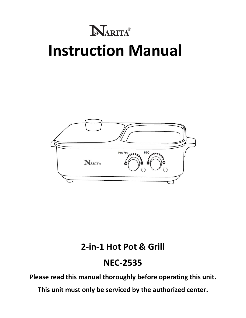# **RARITA® Instruction Manual**



### **2-in-1 Hot Pot & Grill**

### **NEC-2535**

**Please read this manual thoroughly before operating this unit.** 

**This unit must only be serviced by the authorized center.**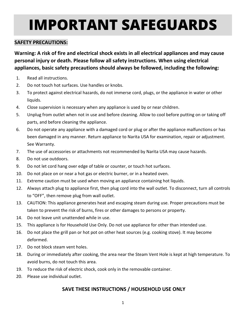# **IMPORTANT SAFEGUARDS**

#### **SAFETY PRECAUTIONS:**

**Warning: A risk of fire and electrical shock exists in all electrical appliances and may cause personal injury or death. Please follow all safety instructions. When using electrical appliances, basic safety precautions should always be followed, including the following:**

- 1. Read all instructions.
- 2. Do not touch hot surfaces. Use handles or knobs.
- 3. To protect against electrical hazards, do not immerse cord, plugs, or the appliance in water or other liquids.
- 4. Close supervision is necessary when any appliance is used by or near children.
- 5. Unplug from outlet when not in use and before cleaning. Allow to cool before putting on or taking off parts, and before cleaning the appliance.
- 6. Do not operate any appliance with a damaged cord or plug or after the appliance malfunctions or has been damaged in any manner. Return appliance to Narita USA for examination, repair or adjustment. See Warranty.
- 7. The use of accessories or attachments not recommended by Narita USA may cause hazards.
- 8. Do not use outdoors.
- 9. Do not let cord hang over edge of table or counter, or touch hot surfaces.
- 10. Do not place on or near a hot gas or electric burner, or in a heated oven.
- 11. Extreme caution must be used when moving an appliance containing hot liquids.
- 12. Always attach plug to appliance first, then plug cord into the wall outlet. To disconnect, turn all controls to "OFF", then remove plug from wall outlet.
- 13. CAUTION: This appliance generates heat and escaping steam during use. Proper precautions must be taken to prevent the risk of burns, fires or other damages to persons or property.
- 14. Do not leave unit unattended while in use.
- 15. This appliance is for Household Use Only. Do not use appliance for other than intended use.
- 16. Do not place the grill pan or hot pot on other heat sources (e.g. cooking stove). It may become deformed.
- 17. Do not block steam vent holes.
- 18. During or immediately after cooking, the area near the Steam Vent Hole is kept at high temperature. To avoid burns, do not touch this area.
- 19. To reduce the risk of electric shock, cook only in the removable container.
- 20. Please use individual outlet.

#### **SAVE THESE INSTRUCTIONS / HOUSEHOLD USE ONLY**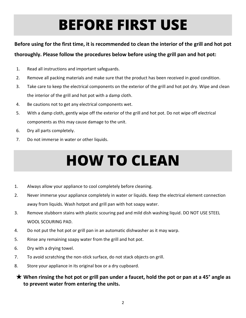## **BEFORE FIRST USE**

#### **Before using for the first time, it is recommended to clean the interior of the grill and hot pot**

#### **thoroughly. Please follow the procedures below before using the grill pan and hot pot:**

- 1. Read all instructions and important safeguards.
- 2. Remove all packing materials and make sure that the product has been received in good condition.
- 3. Take care to keep the electrical components on the exterior of the grill and hot pot dry. Wipe and clean the interior of the grill and hot pot with a damp cloth.
- 4. Be cautions not to get any electrical components wet.
- 5. With a damp cloth, gently wipe off the exterior of the grill and hot pot. Do not wipe off electrical components as this may cause damage to the unit.
- 6. Dry all parts completely.
- 7. Do not immerse in water or other liquids.

## **HOW TO CLEAN**

- 1. Always allow your appliance to cool completely before cleaning.
- 2. Never immerse your appliance completely in water or liquids. Keep the electrical element connection away from liquids. Wash hotpot and grill pan with hot soapy water.
- 3. Remove stubborn stains with plastic scouring pad and mild dish washing liquid. DO NOT USE STEEL WOOL SCOURING PAD.
- 4. Do not put the hot pot or grill pan in an automatic dishwasher as it may warp.
- 5. Rinse any remaining soapy water from the grill and hot pot.
- 6. Dry with a drying towel.
- 7. To avoid scratching the non-stick surface, do not stack objects on grill.
- 8. Store your appliance in its original box or a dry cupboard.
- ★ **When rinsing the hot pot or grill pan under a faucet, hold the pot or pan at a 45° angle as to prevent water from entering the units.**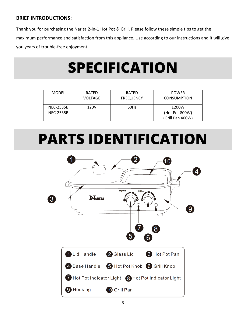#### **BRIEF INTRODUCTIONS:**

Thank you for purchasing the Narita 2-in-1 Hot Pot & Grill. Please follow these simple tips to get the maximum performance and satisfaction from this appliance. Use according to our instructions and it will give you years of trouble-free enjoyment.

### **SPECIFICATION**

| <b>MODEL</b>     | RATED<br>VOLTAGE | RATED<br><b>FREQUENCY</b> | <b>POWER</b><br><b>CONSUMPTION</b> |
|------------------|------------------|---------------------------|------------------------------------|
| <b>NEC-2535B</b> | 120V             | 60Hz                      | 1200W                              |
| <b>NEC-2535R</b> |                  |                           | (Hot Pot 800W)                     |
|                  |                  |                           | (Grill Pan 400W)                   |

### **PARTS IDENTIFICATION**

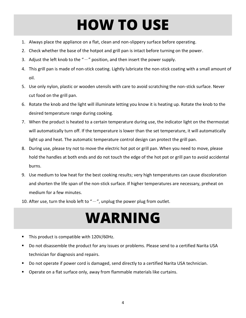## **HOW TO USE**

- 1. Always place the appliance on a flat, clean and non-slippery surface before operating.
- 2. Check whether the base of the hotpot and grill pan is intact before turning on the power.
- 3. Adjust the left knob to the " $-$ " position, and then insert the power supply.
- 4. This grill pan is made of non-stick coating. Lightly lubricate the non-stick coating with a small amount of oil.
- 5. Use only nylon, plastic or wooden utensils with care to avoid scratching the non-stick surface. Never cut food on the grill pan.
- 6. Rotate the knob and the light will illuminate letting you know it is heating up. Rotate the knob to the desired temperature range during cooking.
- 7. When the product is heated to a certain temperature during use, the indicator light on the thermostat will automatically turn off. If the temperature is lower than the set temperature, it will automatically light up and heat. The automatic temperature control design can protect the grill pan.
- 8. During use, please try not to move the electric hot pot or grill pan. When you need to move, please hold the handles at both ends and do not touch the edge of the hot pot or grill pan to avoid accidental burns.
- 9. Use medium to low heat for the best cooking results; very high temperatures can cause discoloration and shorten the life span of the non-stick surface. If higher temperatures are necessary, preheat on medium for a few minutes.
- 10. After use, turn the knob left to  $H T$ , unplug the power plug from outlet.

### **WARNING**

- This product is compatible with 120V/60Hz.
- Do not disassemble the product for any issues or problems. Please send to a certified Narita USA technician for diagnosis and repairs.
- Do not operate if power cord is damaged, send directly to a certified Narita USA technician.
- Operate on a flat surface only, away from flammable materials like curtains.